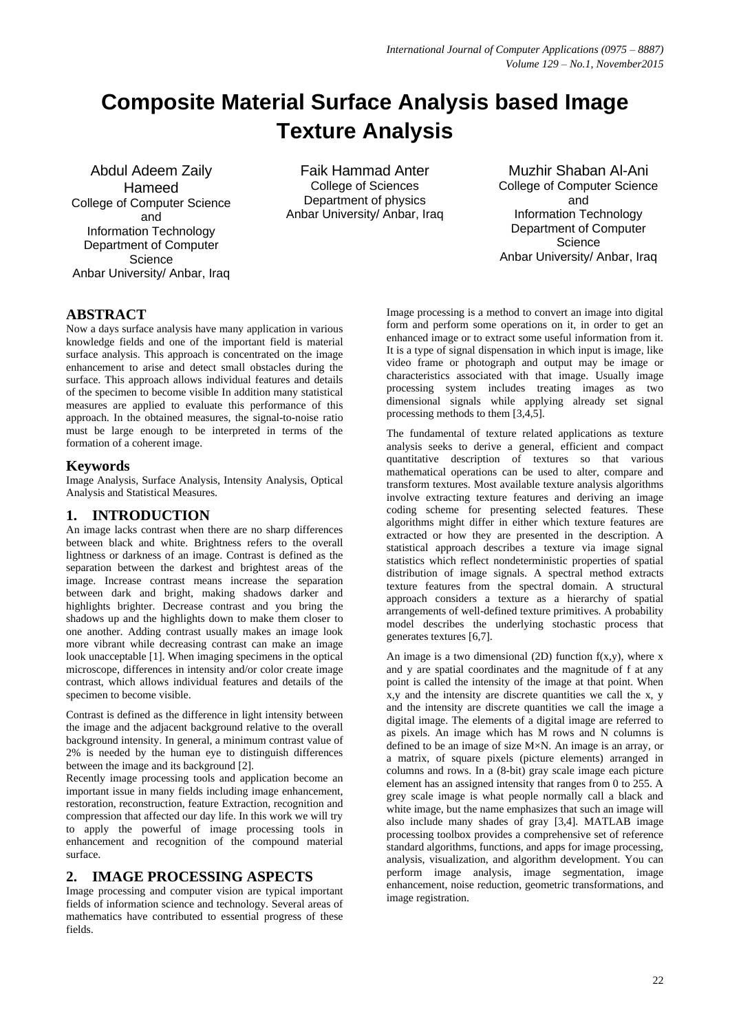# **Composite Material Surface Analysis based Image Texture Analysis**

Abdul Adeem Zaily Hameed College of Computer Science and Information Technology Department of Computer **Science** Anbar University/ Anbar, Iraq

Faik Hammad Anter College of Sciences Department of physics Anbar University/ Anbar, Iraq

Muzhir Shaban Al-Ani College of Computer Science and Information Technology Department of Computer **Science** Anbar University/ Anbar, Iraq

# **ABSTRACT**

Now a days surface analysis have many application in various knowledge fields and one of the important field is material surface analysis. This approach is concentrated on the image enhancement to arise and detect small obstacles during the surface. This approach allows individual features and details of the specimen to become visible In addition many statistical measures are applied to evaluate this performance of this approach. In the obtained measures, the signal-to-noise ratio must be large enough to be interpreted in terms of the formation of a coherent image.

# **Keywords**

Image Analysis, Surface Analysis, Intensity Analysis, Optical Analysis and Statistical Measures.

# **1. INTRODUCTION**

An image lacks contrast when there are no sharp differences between black and white. Brightness refers to the overall lightness or darkness of an image. Contrast is defined as the separation between the darkest and brightest areas of the image. Increase contrast means increase the separation between dark and bright, making shadows darker and highlights brighter. Decrease contrast and you bring the shadows up and the highlights down to make them closer to one another. Adding contrast usually makes an image look more vibrant while decreasing contrast can make an image look unacceptable [1]. When imaging specimens in the optical microscope, differences in intensity and/or color create image contrast, which allows individual features and details of the specimen to become visible.

Contrast is defined as the difference in light intensity between the image and the adjacent background relative to the overall background intensity. In general, a minimum contrast value of 2% is needed by the human eye to distinguish differences between the image and its background [2].

Recently image processing tools and application become an important issue in many fields including image enhancement, restoration, reconstruction, feature Extraction, recognition and compression that affected our day life. In this work we will try to apply the powerful of image processing tools in enhancement and recognition of the compound material surface.

# **2. IMAGE PROCESSING ASPECTS**

Image processing and computer vision are typical important fields of information science and technology. Several areas of mathematics have contributed to essential progress of these fields.

Image processing is a method to convert an image into digital form and perform some operations on it, in order to get an enhanced image or to extract some useful information from it. It is a type of signal dispensation in which input is image, like video frame or photograph and output may be image or characteristics associated with that image. Usually image processing system includes treating images as two dimensional signals while applying already set signal processing methods to them [3,4,5].

The fundamental of texture related applications as texture analysis seeks to derive a general, efficient and compact quantitative description of textures so that various mathematical operations can be used to alter, compare and transform textures. Most available texture analysis algorithms involve extracting texture features and deriving an image coding scheme for presenting selected features. These algorithms might differ in either which texture features are extracted or how they are presented in the description. A statistical approach describes a texture via image signal statistics which reflect nondeterministic properties of spatial distribution of image signals. A spectral method extracts texture features from the spectral domain. A structural approach considers a texture as a hierarchy of spatial arrangements of well-defined texture primitives. A probability model describes the underlying stochastic process that generates textures [6,7].

An image is a two dimensional (2D) function  $f(x,y)$ , where x and y are spatial coordinates and the magnitude of f at any point is called the intensity of the image at that point. When  $x,y$  and the intensity are discrete quantities we call the x, y and the intensity are discrete quantities we call the image a digital image. The elements of a digital image are referred to as pixels. An image which has M rows and N columns is defined to be an image of size M×N. An image is an array, or a matrix, of square pixels (picture elements) arranged in columns and rows. In a (8-bit) gray scale image each picture element has an assigned intensity that ranges from 0 to 255. A grey scale image is what people normally call a black and white image, but the name emphasizes that such an image will also include many shades of gray [3,4]. MATLAB image processing toolbox provides a comprehensive set of reference standard algorithms, functions, and apps for image processing, analysis, visualization, and algorithm development. You can perform image analysis, image segmentation, image enhancement, noise reduction, geometric transformations, and image registration.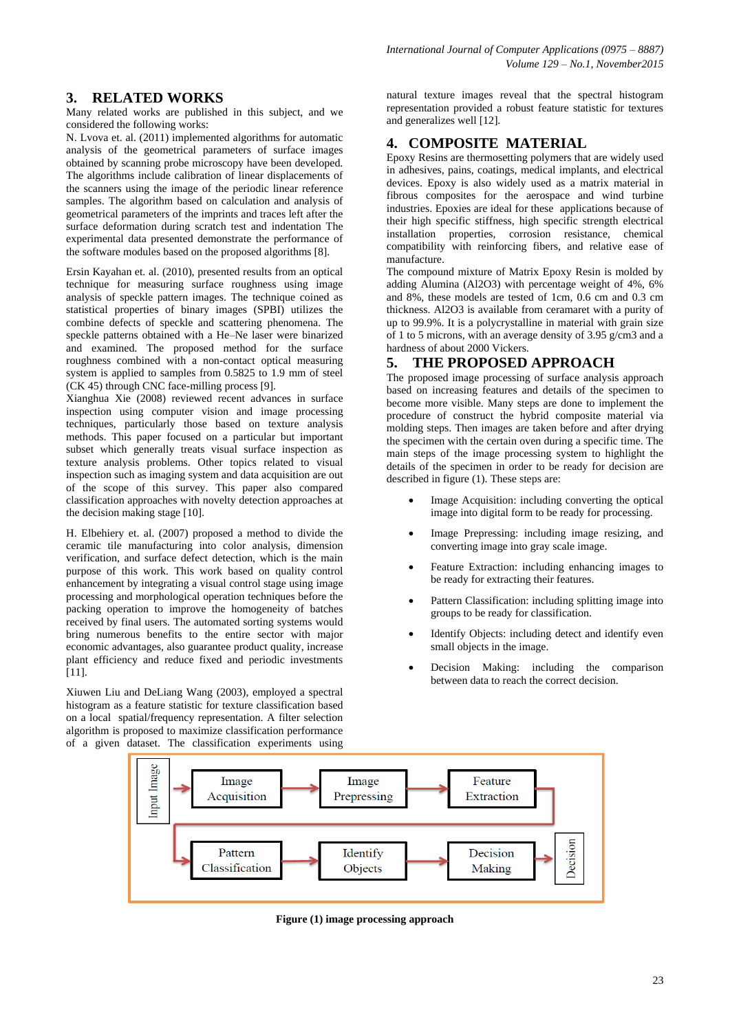# **3. RELATED WORKS**

Many related works are published in this subject, and we considered the following works:

N. Lvova et. al. (2011) implemented algorithms for automatic analysis of the geometrical parameters of surface images obtained by scanning probe microscopy have been developed. The algorithms include calibration of linear displacements of the scanners using the image of the periodic linear reference samples. The algorithm based on calculation and analysis of geometrical parameters of the imprints and traces left after the surface deformation during scratch test and indentation The experimental data presented demonstrate the performance of the software modules based on the proposed algorithms [8].

Ersin Kayahan et. al. (2010), presented results from an optical technique for measuring surface roughness using image analysis of speckle pattern images. The technique coined as statistical properties of binary images (SPBI) utilizes the combine defects of speckle and scattering phenomena. The speckle patterns obtained with a He–Ne laser were binarized and examined. The proposed method for the surface roughness combined with a non-contact optical measuring system is applied to samples from 0.5825 to 1.9 mm of steel (CK 45) through CNC face-milling process [9].

Xianghua Xie (2008) reviewed recent advances in surface inspection using computer vision and image processing techniques, particularly those based on texture analysis methods. This paper focused on a particular but important subset which generally treats visual surface inspection as texture analysis problems. Other topics related to visual inspection such as imaging system and data acquisition are out of the scope of this survey. This paper also compared classification approaches with novelty detection approaches at the decision making stage [10].

H. Elbehiery et. al. (2007) proposed a method to divide the ceramic tile manufacturing into color analysis, dimension verification, and surface defect detection, which is the main purpose of this work. This work based on quality control enhancement by integrating a visual control stage using image processing and morphological operation techniques before the packing operation to improve the homogeneity of batches received by final users. The automated sorting systems would bring numerous benefits to the entire sector with major economic advantages, also guarantee product quality, increase plant efficiency and reduce fixed and periodic investments [11].

Xiuwen Liu and DeLiang Wang (2003), employed a spectral histogram as a feature statistic for texture classification based on a local spatial/frequency representation. A filter selection algorithm is proposed to maximize classification performance of a given dataset. The classification experiments using

natural texture images reveal that the spectral histogram representation provided a robust feature statistic for textures and generalizes well [12].

### **4. COMPOSITE MATERIAL**

Epoxy Resins are thermosetting polymers that are widely used in adhesives, pains, coatings, medical implants, and electrical devices. Epoxy is also widely used as a matrix material in fibrous composites for the aerospace and wind turbine industries. Epoxies are ideal for these applications because of their high specific stiffness, high specific strength electrical installation properties, corrosion resistance, chemical compatibility with reinforcing fibers, and relative ease of manufacture.

The compound mixture of Matrix Epoxy Resin is molded by adding Alumina (Al2O3) with percentage weight of 4%, 6% and 8%, these models are tested of 1cm, 0.6 cm and 0.3 cm thickness. Al2O3 is available from ceramaret with a purity of up to 99.9%. It is a polycrystalline in material with grain size of 1 to 5 microns, with an average density of 3.95 g/cm3 and a hardness of about 2000 Vickers.

#### **5. THE PROPOSED APPROACH**

The proposed image processing of surface analysis approach based on increasing features and details of the specimen to become more visible. Many steps are done to implement the procedure of construct the hybrid composite material via molding steps. Then images are taken before and after drying the specimen with the certain oven during a specific time. The main steps of the image processing system to highlight the details of the specimen in order to be ready for decision are described in figure (1). These steps are:

- Image Acquisition: including converting the optical image into digital form to be ready for processing.
- Image Prepressing: including image resizing, and converting image into gray scale image.
- Feature Extraction: including enhancing images to be ready for extracting their features.
- Pattern Classification: including splitting image into groups to be ready for classification.
- Identify Objects: including detect and identify even small objects in the image.
- Decision Making: including the comparison between data to reach the correct decision.



**Figure (1) image processing approach**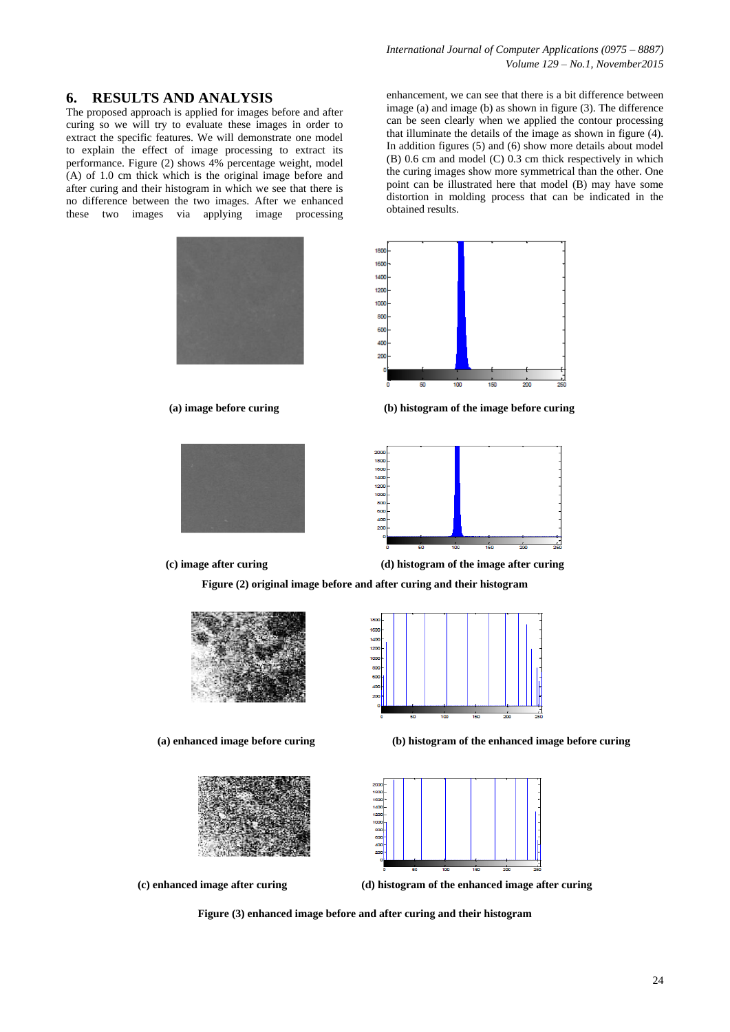*International Journal of Computer Applications (0975 – 8887) Volume 129 – No.1, November2015*

#### **6. RESULTS AND ANALYSIS**

The proposed approach is applied for images before and after curing so we will try to evaluate these images in order to extract the specific features. We will demonstrate one model to explain the effect of image processing to extract its performance. Figure (2) shows 4% percentage weight, model (A) of 1.0 cm thick which is the original image before and after curing and their histogram in which we see that there is no difference between the two images. After we enhanced these two images via applying image processing

enhancement, we can see that there is a bit difference between image (a) and image (b) as shown in figure (3). The difference can be seen clearly when we applied the contour processing that illuminate the details of the image as shown in figure (4). In addition figures (5) and (6) show more details about model (B) 0.6 cm and model (C) 0.3 cm thick respectively in which the curing images show more symmetrical than the other. One point can be illustrated here that model (B) may have some distortion in molding process that can be indicated in the obtained results.



 **(a) image before curing (b) histogram of the image before curing**





**(c) image after curing (d) histogram of the image after curing**

**Figure (2) original image before and after curing and their histogram**







 **(a) enhanced image before curing (b) histogram of the enhanced image before curing**



**(c) enhanced image after curing (d) histogram of the enhanced image after curing**

**Figure (3) enhanced image before and after curing and their histogram**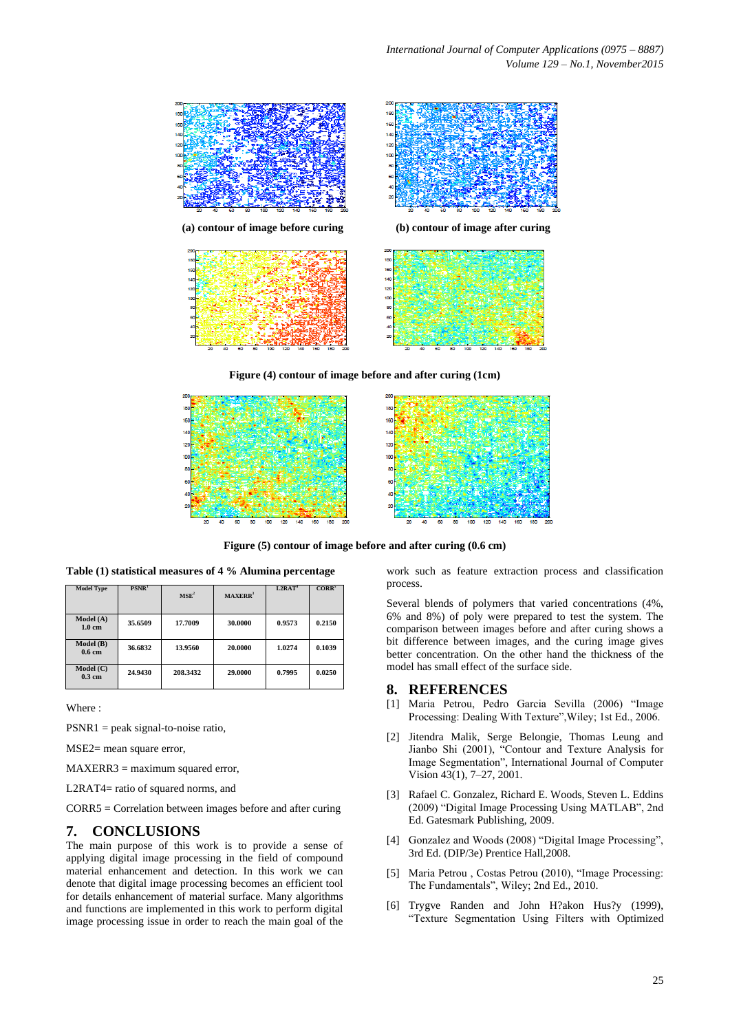

**Figure (4) contour of image before and after curing (1cm)**



**Figure (5) contour of image before and after curing (0.6 cm)**

| <b>Model Type</b>              | PSNR <sup>1</sup> | MSE <sup>2</sup> | MAXERR <sup>3</sup> | $L2RAT$ <sup>4</sup> | CORR <sup>5</sup> |
|--------------------------------|-------------------|------------------|---------------------|----------------------|-------------------|
| Model (A)<br>$1.0 \text{ cm}$  | 35.6509           | 17.7009          | 30.0000             | 0.9573               | 0.2150            |
| Model (B)<br>0.6 <sub>cm</sub> | 36.6832           | 13.9560          | 20.0000             | 1.0274               | 0.1039            |
| Model (C)<br>$0.3$ cm          | 24.9430           | 208.3432         | 29.0000             | 0.7995               | 0.0250            |

**Table (1) statistical measures of 4 % Alumina percentage**

Where :

PSNR1 = peak signal-to-noise ratio,

MSE2= mean square error,

MAXERR3 = maximum squared error,

L2RAT4= ratio of squared norms, and

CORR5 = Correlation between images before and after curing

#### **7. CONCLUSIONS**

The main purpose of this work is to provide a sense of applying digital image processing in the field of compound material enhancement and detection. In this work we can denote that digital image processing becomes an efficient tool for details enhancement of material surface. Many algorithms and functions are implemented in this work to perform digital image processing issue in order to reach the main goal of the

work such as feature extraction process and classification process.

Several blends of polymers that varied concentrations (4%, 6% and 8%) of poly were prepared to test the system. The comparison between images before and after curing shows a bit difference between images, and the curing image gives better concentration. On the other hand the thickness of the model has small effect of the surface side.

#### **8. REFERENCES**

- [1] Maria Petrou, Pedro Garcia Sevilla (2006) "Image Processing: Dealing With Texture",Wiley; 1st Ed., 2006.
- [2] Jitendra Malik, Serge Belongie, Thomas Leung and Jianbo Shi (2001), "Contour and Texture Analysis for Image Segmentation", International Journal of Computer Vision 43(1), 7–27, 2001.
- [3] Rafael C. Gonzalez, Richard E. Woods, Steven L. Eddins (2009) "Digital Image Processing Using MATLAB", 2nd Ed. Gatesmark Publishing, 2009.
- [4] Gonzalez and Woods (2008) "Digital Image Processing". 3rd Ed. (DIP/3e) Prentice Hall,2008.
- [5] Maria Petrou , Costas Petrou (2010), "Image Processing: The Fundamentals", Wiley; 2nd Ed., 2010.
- [6] Trygve Randen and John H?akon Hus?y (1999), "Texture Segmentation Using Filters with Optimized